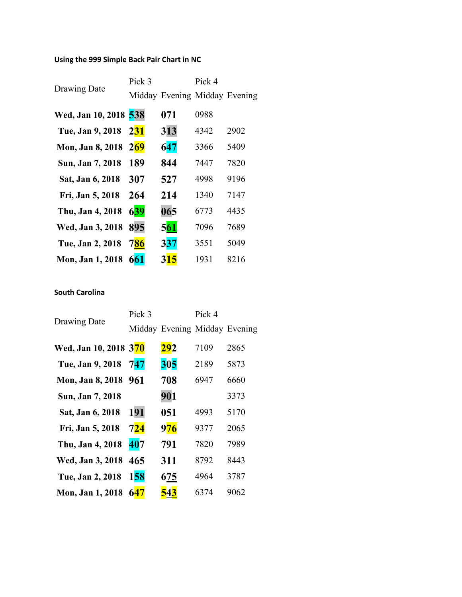## **Using the 999 Simple Back Pair Chart in NC**

| Drawing Date          | Pick 3     | Midday Evening Midday Evening | Pick 4 |      |
|-----------------------|------------|-------------------------------|--------|------|
| Wed, Jan 10, 2018 538 |            | 071                           | 0988   |      |
| Tue, Jan 9, 2018      | <b>231</b> | 313                           | 4342   | 2902 |
| Mon, Jan 8, 2018      | 269        | 647                           | 3366   | 5409 |
| Sun, Jan 7, 2018      | 189        | 844                           | 7447   | 7820 |
| Sat, Jan 6, 2018      | 307        | 527                           | 4998   | 9196 |
| Fri, Jan 5, 2018      | 264        | 214                           | 1340   | 7147 |
| Thu, Jan 4, 2018      | 639        | 065                           | 6773   | 4435 |
| Wed, Jan 3, 2018      | 895        | <b>561</b>                    | 7096   | 7689 |
| Tue, Jan 2, 2018      | 786        | <b>337</b>                    | 3551   | 5049 |
| Mon, Jan 1, 2018      | 661        | <b>315</b>                    | 1931   | 8216 |

## **South Carolina**

| <b>Drawing Date</b>   | Pick 3     |                               | Pick 4 |      |
|-----------------------|------------|-------------------------------|--------|------|
|                       |            | Midday Evening Midday Evening |        |      |
| Wed, Jan 10, 2018 370 |            | 292                           | 7109   | 2865 |
| Tue, Jan 9, 2018      | 747        | 305                           | 2189   | 5873 |
| Mon, Jan 8, 2018 961  |            | 708                           | 6947   | 6660 |
| Sun, Jan 7, 2018      |            | 901                           |        | 3373 |
| Sat, Jan 6, 2018      | 191        | 051                           | 4993   | 5170 |
| Fri, Jan 5, 2018      | 724        | <b>976</b>                    | 9377   | 2065 |
| Thu, Jan 4, 2018      | 407        | 791                           | 7820   | 7989 |
| Wed, Jan 3, 2018      | 465        | 311                           | 8792   | 8443 |
| Tue, Jan 2, 2018      | <b>158</b> | 675                           | 4964   | 3787 |
| Mon, Jan 1, 2018      | 647        | 543                           | 6374   | 9062 |